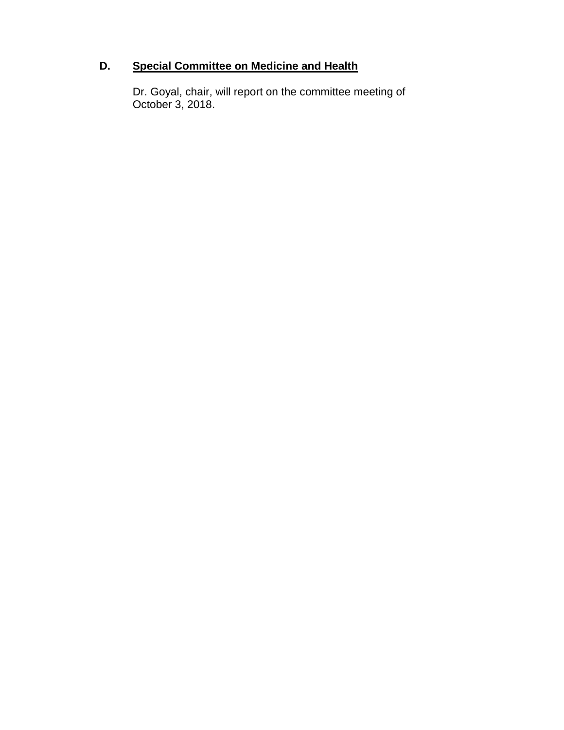# **D. Special Committee on Medicine and Health**

Dr. Goyal, chair, will report on the committee meeting of October 3, 2018.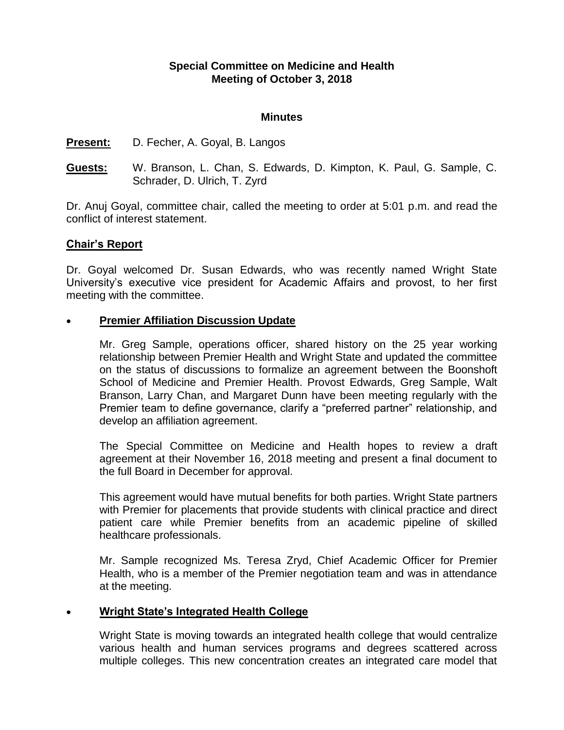# **Special Committee on Medicine and Health Meeting of October 3, 2018**

#### **Minutes**

#### **Present:** D. Fecher, A. Goyal, B. Langos

**Guests:** W. Branson, L. Chan, S. Edwards, D. Kimpton, K. Paul, G. Sample, C. Schrader, D. Ulrich, T. Zyrd

Dr. Anuj Goyal, committee chair, called the meeting to order at 5:01 p.m. and read the conflict of interest statement.

## **Chair's Report**

Dr. Goyal welcomed Dr. Susan Edwards, who was recently named Wright State University's executive vice president for Academic Affairs and provost, to her first meeting with the committee.

## **Premier Affiliation Discussion Update**

Mr. Greg Sample, operations officer, shared history on the 25 year working relationship between Premier Health and Wright State and updated the committee on the status of discussions to formalize an agreement between the Boonshoft School of Medicine and Premier Health. Provost Edwards, Greg Sample, Walt Branson, Larry Chan, and Margaret Dunn have been meeting regularly with the Premier team to define governance, clarify a "preferred partner" relationship, and develop an affiliation agreement.

The Special Committee on Medicine and Health hopes to review a draft agreement at their November 16, 2018 meeting and present a final document to the full Board in December for approval.

This agreement would have mutual benefits for both parties. Wright State partners with Premier for placements that provide students with clinical practice and direct patient care while Premier benefits from an academic pipeline of skilled healthcare professionals.

Mr. Sample recognized Ms. Teresa Zryd, Chief Academic Officer for Premier Health, who is a member of the Premier negotiation team and was in attendance at the meeting.

## **Wright State's Integrated Health College**

Wright State is moving towards an integrated health college that would centralize various health and human services programs and degrees scattered across multiple colleges. This new concentration creates an integrated care model that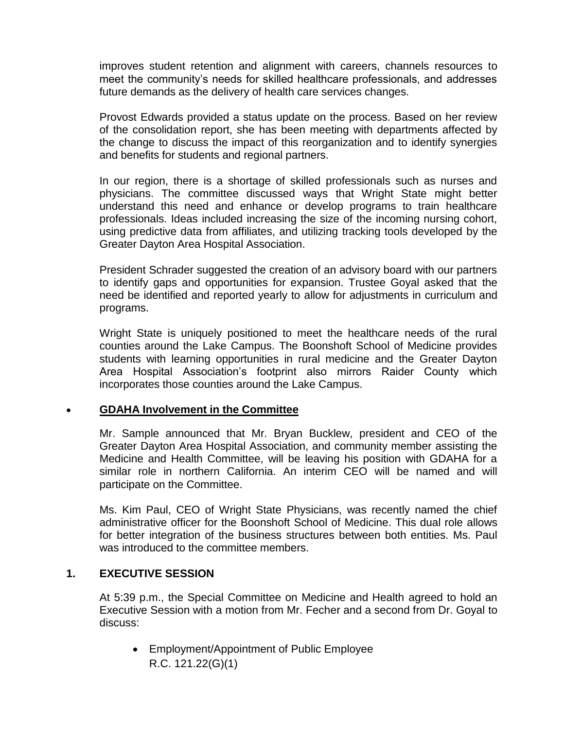improves student retention and alignment with careers, channels resources to meet the community's needs for skilled healthcare professionals, and addresses future demands as the delivery of health care services changes.

Provost Edwards provided a status update on the process. Based on her review of the consolidation report, she has been meeting with departments affected by the change to discuss the impact of this reorganization and to identify synergies and benefits for students and regional partners.

In our region, there is a shortage of skilled professionals such as nurses and physicians. The committee discussed ways that Wright State might better understand this need and enhance or develop programs to train healthcare professionals. Ideas included increasing the size of the incoming nursing cohort, using predictive data from affiliates, and utilizing tracking tools developed by the Greater Dayton Area Hospital Association.

President Schrader suggested the creation of an advisory board with our partners to identify gaps and opportunities for expansion. Trustee Goyal asked that the need be identified and reported yearly to allow for adjustments in curriculum and programs.

Wright State is uniquely positioned to meet the healthcare needs of the rural counties around the Lake Campus. The Boonshoft School of Medicine provides students with learning opportunities in rural medicine and the Greater Dayton Area Hospital Association's footprint also mirrors Raider County which incorporates those counties around the Lake Campus.

## **GDAHA Involvement in the Committee**

Mr. Sample announced that Mr. Bryan Bucklew, president and CEO of the Greater Dayton Area Hospital Association, and community member assisting the Medicine and Health Committee, will be leaving his position with GDAHA for a similar role in northern California. An interim CEO will be named and will participate on the Committee.

Ms. Kim Paul, CEO of Wright State Physicians, was recently named the chief administrative officer for the Boonshoft School of Medicine. This dual role allows for better integration of the business structures between both entities. Ms. Paul was introduced to the committee members.

## **1. EXECUTIVE SESSION**

At 5:39 p.m., the Special Committee on Medicine and Health agreed to hold an Executive Session with a motion from Mr. Fecher and a second from Dr. Goyal to discuss:

 Employment/Appointment of Public Employee R.C. 121.22(G)(1)